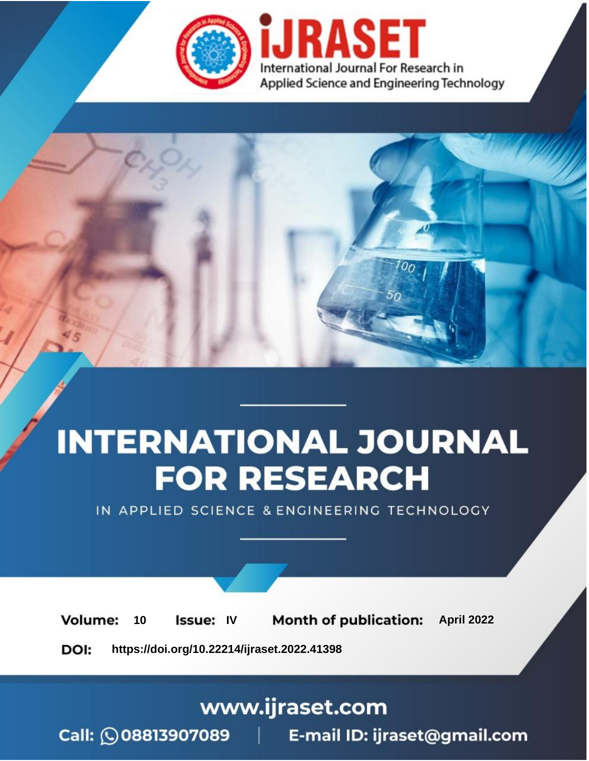

# **INTERNATIONAL JOURNAL FOR RESEARCH**

IN APPLIED SCIENCE & ENGINEERING TECHNOLOGY

10 **Issue: IV Month of publication:** April 2022 **Volume:** 

**https://doi.org/10.22214/ijraset.2022.41398**DOI:

www.ijraset.com

Call: 008813907089 | E-mail ID: ijraset@gmail.com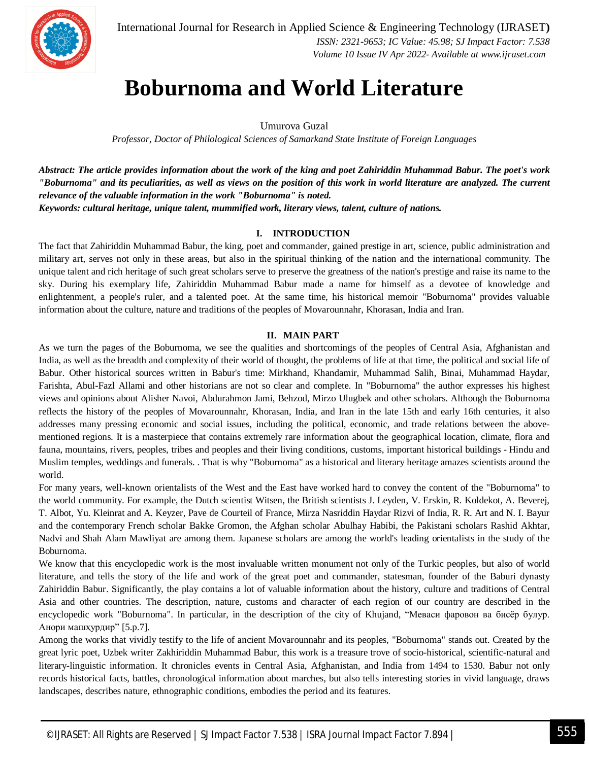

## **Boburnoma and World Literature**

Umurova Guzal

*Professor, Doctor of Philological Sciences of Samarkand State Institute of Foreign Languages*

*Abstract: The article provides information about the work of the king and poet Zahiriddin Muhammad Babur. The poet's work "Boburnoma" and its peculiarities, as well as views on the position of this work in world literature are analyzed. The current relevance of the valuable information in the work "Boburnoma" is noted. Keywords: cultural heritage, unique talent, mummified work, literary views, talent, culture of nations.*

### **I. INTRODUCTION**

The fact that Zahiriddin Muhammad Babur, the king, poet and commander, gained prestige in art, science, public administration and military art, serves not only in these areas, but also in the spiritual thinking of the nation and the international community. The unique talent and rich heritage of such great scholars serve to preserve the greatness of the nation's prestige and raise its name to the sky. During his exemplary life, Zahiriddin Muhammad Babur made a name for himself as a devotee of knowledge and enlightenment, a people's ruler, and a talented poet. At the same time, his historical memoir "Boburnoma" provides valuable information about the culture, nature and traditions of the peoples of Movarounnahr, Khorasan, India and Iran.

### **II. MAIN PART**

As we turn the pages of the Boburnoma, we see the qualities and shortcomings of the peoples of Central Asia, Afghanistan and India, as well as the breadth and complexity of their world of thought, the problems of life at that time, the political and social life of Babur. Other historical sources written in Babur's time: Mirkhand, Khandamir, Muhammad Salih, Binai, Muhammad Haydar, Farishta, Abul-Fazl Allami and other historians are not so clear and complete. In "Boburnoma" the author expresses his highest views and opinions about Alisher Navoi, Abdurahmon Jami, Behzod, Mirzo Ulugbek and other scholars. Although the Boburnoma reflects the history of the peoples of Movarounnahr, Khorasan, India, and Iran in the late 15th and early 16th centuries, it also addresses many pressing economic and social issues, including the political, economic, and trade relations between the abovementioned regions. It is a masterpiece that contains extremely rare information about the geographical location, climate, flora and fauna, mountains, rivers, peoples, tribes and peoples and their living conditions, customs, important historical buildings - Hindu and Muslim temples, weddings and funerals. . That is why "Boburnoma" as a historical and literary heritage amazes scientists around the world.

For many years, well-known orientalists of the West and the East have worked hard to convey the content of the "Boburnoma" to the world community. For example, the Dutch scientist Witsen, the British scientists J. Leyden, V. Erskin, R. Koldekot, A. Beverej, T. Albot, Yu. Kleinrat and A. Keyzer, Pave de Courteil of France, Mirza Nasriddin Haydar Rizvi of India, R. R. Art and N. I. Bayur and the contemporary French scholar Bakke Gromon, the Afghan scholar Abulhay Habibi, the Pakistani scholars Rashid Akhtar, Nadvi and Shah Alam Mawliyat are among them. Japanese scholars are among the world's leading orientalists in the study of the Boburnoma.

We know that this encyclopedic work is the most invaluable written monument not only of the Turkic peoples, but also of world literature, and tells the story of the life and work of the great poet and commander, statesman, founder of the Baburi dynasty Zahiriddin Babur. Significantly, the play contains a lot of valuable information about the history, culture and traditions of Central Asia and other countries. The description, nature, customs and character of each region of our country are described in the encyclopedic work "Boburnoma". In particular, in the description of the city of Khujand, "Меваси фаровон ва бисёр булур. Анори машҳурдир" [5.p.7].

Among the works that vividly testify to the life of ancient Movarounnahr and its peoples, "Boburnoma" stands out. Created by the great lyric poet, Uzbek writer Zakhiriddin Muhammad Babur, this work is a treasure trove of socio-historical, scientific-natural and literary-linguistic information. It chronicles events in Central Asia, Afghanistan, and India from 1494 to 1530. Babur not only records historical facts, battles, chronological information about marches, but also tells interesting stories in vivid language, draws landscapes, describes nature, ethnographic conditions, embodies the period and its features.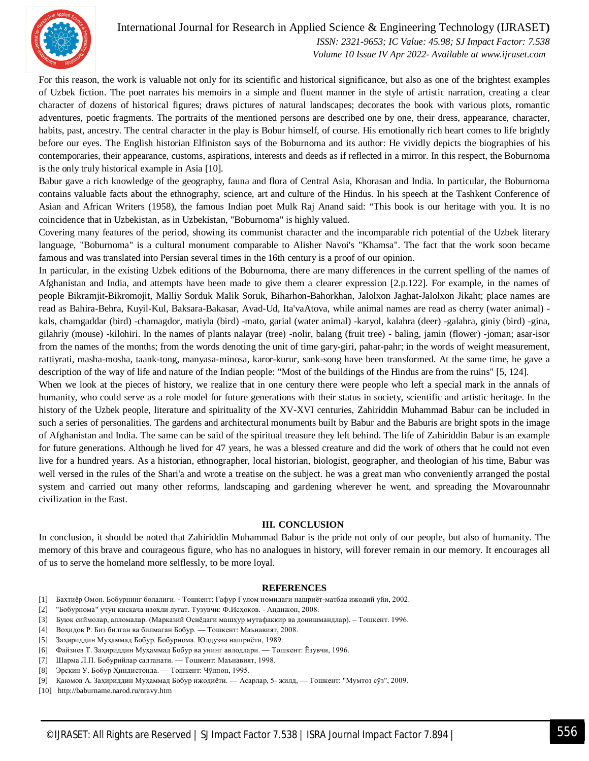

### International Journal for Research in Applied Science & Engineering Technology (IJRASET**)**

 *ISSN: 2321-9653; IC Value: 45.98; SJ Impact Factor: 7.538 Volume 10 Issue IV Apr 2022- Available at www.ijraset.com*

For this reason, the work is valuable not only for its scientific and historical significance, but also as one of the brightest examples of Uzbek fiction. The poet narrates his memoirs in a simple and fluent manner in the style of artistic narration, creating a clear character of dozens of historical figures; draws pictures of natural landscapes; decorates the book with various plots, romantic adventures, poetic fragments. The portraits of the mentioned persons are described one by one, their dress, appearance, character, habits, past, ancestry. The central character in the play is Bobur himself, of course. His emotionally rich heart comes to life brightly before our eyes. The English historian Elfiniston says of the Boburnoma and its author: He vividly depicts the biographies of his contemporaries, their appearance, customs, aspirations, interests and deeds as if reflected in a mirror. In this respect, the Boburnoma is the only truly historical example in Asia [10].

Babur gave a rich knowledge of the geography, fauna and flora of Central Asia, Khorasan and India. In particular, the Boburnoma contains valuable facts about the ethnography, science, art and culture of the Hindus. In his speech at the Tashkent Conference of Asian and African Writers (1958), the famous Indian poet Mulk Raj Anand said: "This book is our heritage with you. It is no coincidence that in Uzbekistan, as in Uzbekistan, "Boburnoma" is highly valued.

Covering many features of the period, showing its communist character and the incomparable rich potential of the Uzbek literary language, "Boburnoma" is a cultural monument comparable to Alisher Navoi's "Khamsa". The fact that the work soon became famous and was translated into Persian several times in the 16th century is a proof of our opinion.

In particular, in the existing Uzbek editions of the Boburnoma, there are many differences in the current spelling of the names of Afghanistan and India, and attempts have been made to give them a clearer expression [2.p.122]. For example, in the names of people Bikramjit-Bikromojit, Malliy Sorduk Malik Soruk, Biharhon-Bahorkhan, Jalolxon Jaghat-Jalolxon Jikaht; place names are read as Bahira-Behra, Kuyil-Kul, Baksara-Bakasar, Avad-Ud, Ita'vaAtova, while animal names are read as cherry (water animal) kals, chamgaddar (bird) -chamagdor, matiyla (bird) -mato, garial (water animal) -karyol, kalahra (deer) -galahra, giniy (bird) -gina, gilahriy (mouse) -kilohiri. In the names of plants nalayar (tree) -nolir, balang (fruit tree) - baling, jamin (flower) -joman; asar-isor from the names of the months; from the words denoting the unit of time gary-giri, pahar-pahr; in the words of weight measurement, rattiyrati, masha-mosha, taank-tong, manyasa-minosa, karor-kurur, sank-song have been transformed. At the same time, he gave a description of the way of life and nature of the Indian people: "Most of the buildings of the Hindus are from the ruins" [5, 124].

When we look at the pieces of history, we realize that in one century there were people who left a special mark in the annals of humanity, who could serve as a role model for future generations with their status in society, scientific and artistic heritage. In the history of the Uzbek people, literature and spirituality of the XV-XVI centuries, Zahiriddin Muhammad Babur can be included in such a series of personalities. The gardens and architectural monuments built by Babur and the Baburis are bright spots in the image of Afghanistan and India. The same can be said of the spiritual treasure they left behind. The life of Zahiriddin Babur is an example for future generations. Although he lived for 47 years, he was a blessed creature and did the work of others that he could not even live for a hundred years. As a historian, ethnographer, local historian, biologist, geographer, and theologian of his time, Babur was well versed in the rules of the Shari'a and wrote a treatise on the subject. he was a great man who conveniently arranged the postal system and carried out many other reforms, landscaping and gardening wherever he went, and spreading the Movarounnahr civilization in the East.

### **III. CONCLUSION**

In conclusion, it should be noted that Zahiriddin Muhammad Babur is the pride not only of our people, but also of humanity. The memory of this brave and courageous figure, who has no analogues in history, will forever remain in our memory. It encourages all of us to serve the homeland more selflessly, to be more loyal.

#### **REFERENCES**

- [1] Бахтиёр Омон. Бобурнинг болалиги. Тошкент: Ғафур Ғулом номидаги нашриёт-матбаа ижодий уйи, 2002.
- [2] "Бобурнома" учун қисқача изоҳли луғат. Тузувчи: Ф.Исҳоқов. Андижон, 2008.
- [3] Буюк сиймолар, алломалар. (Марказий Осиёдаги машҳур мутафаккир ва донишмандлар). Тошкент. 1996.
- [4] Воҳидов Р. Биз билган ва билмаган Бобур. Тошкент: Маънавият, 2008.
- [5] Заҳириддин Муҳаммад Бобур. Бобурнома. Юлдузча нашриёти, 1989.
- [6] Файзиев Т. Заҳириддин Муҳаммад Бобур ва унинг авлодлари. Тошкент: Ёзувчи, 1996.
- [7] Шарма Л.П. Бобурийлар салтанати. Тошкент: Маънавият, 1998.
- [8] Эрскин У. Бобур Ҳиндистонда. Тошкент: Чўлпон, 1995.
- [9] Қаюмов А. Заҳириддин Муҳаммад Бобур ижодиёти. Асарлар, 5- жилд, Тошкент: "Мумтоз сўз", 2009.
- [10] http://baburname.narod.ru/nravy.htm